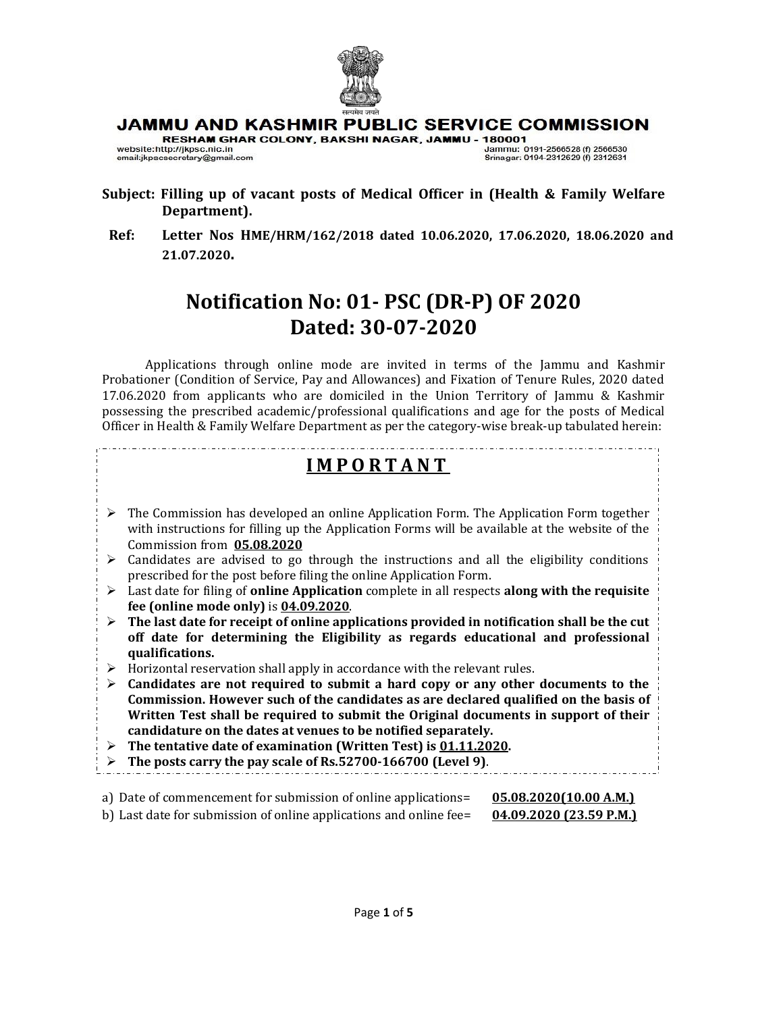

# JAMMU AND KASHMIR PUBLIC SERVICE COMMISSION

RESHAM GHAR COLONY, BAKSHI NAGAR, JAMMU - 180001

website:http://jkpsc.nic.in email:jkpscsecretary@gmail.com Jammu: 0191-2566528 (f) 2566530 Srinagar: 0194-2312629 (f) 2312631

- **Subject: Filling up of vacant posts of Medical Officer in (Health & Family Welfare Department).**
- **Ref: Letter Nos HME/HRM/162/2018 dated 10.06.2020, 17.06.2020, 18.06.2020 and 21.07.2020.**

# **Notification No: 01- PSC (DR-P) OF 2020 Dated: 30-07-2020**

Applications through online mode are invited in terms of the Jammu and Kashmir Probationer (Condition of Service, Pay and Allowances) and Fixation of Tenure Rules, 2020 dated 17.06.2020 from applicants who are domiciled in the Union Territory of Jammu & Kashmir possessing the prescribed academic/professional qualifications and age for the posts of Medical Officer in Health & Family Welfare Department as per the category-wise break-up tabulated herein:

# **I M P O R T A N T**

- $\triangleright$  The Commission has developed an online Application Form. The Application Form together with instructions for filling up the Application Forms will be available at the website of the Commission from **05.08.2020**
- $\triangleright$  Candidates are advised to go through the instructions and all the eligibility conditions prescribed for the post before filing the online Application Form.
- ➢ Last date for filing of **online Application** complete in all respects **along with the requisite fee (online mode only)** is **04.09.2020**.
- $\triangleright$  The last date for receipt of online applications provided in notification shall be the cut **off date for determining the Eligibility as regards educational and professional qualifications.**
- ➢ Horizontal reservation shall apply in accordance with the relevant rules.
- ➢ **Candidates are not required to submit a hard copy or any other documents to the Commission. However such of the candidates as are declared qualified on the basis of Written Test shall be required to submit the Original documents in support of their candidature on the dates at venues to be notified separately.**
- ➢ **The tentative date of examination (Written Test) is 01.11.2020.**
- ➢ **The posts carry the pay scale of Rs.52700-166700 (Level 9)**.
- a) Date of commencement for submission of online applications= **05.08.2020(10.00 A.M.)**
- b) Last date for submission of online applications and online fee= **04.09.2020 (23.59 P.M.)**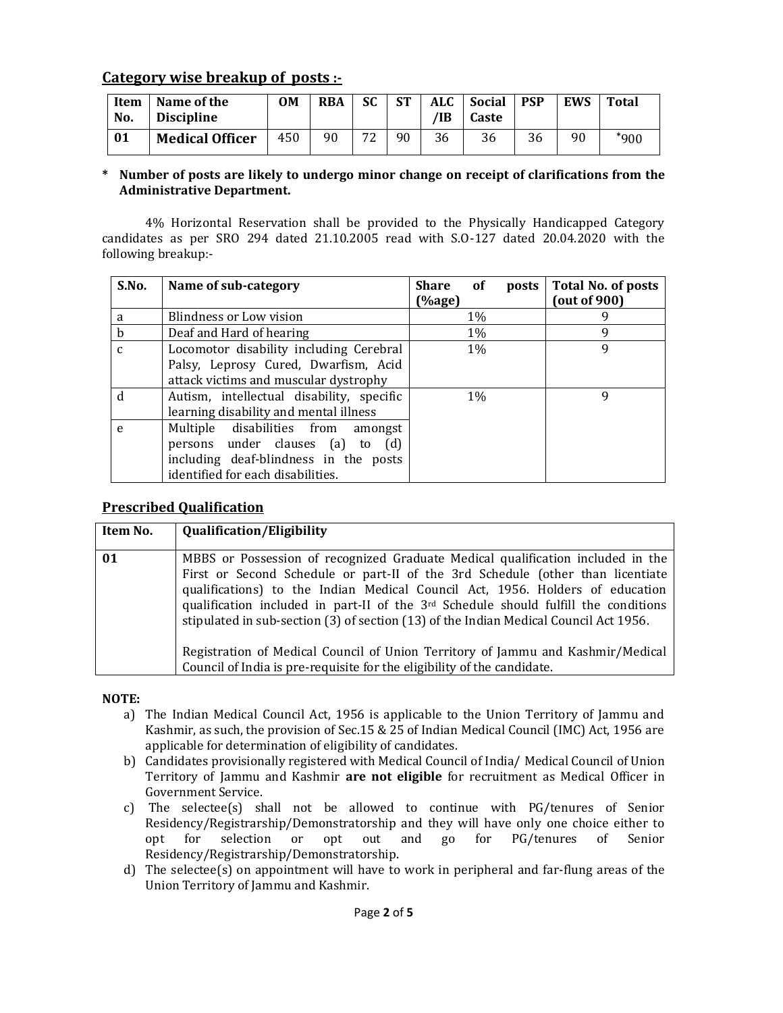# **Category wise breakup of posts :-**

| Item<br>No. | Name of the<br><b>Discipline</b> | 0M  | <b>RBA</b> | SC      | <b>ST</b> | <b>ALC</b><br>⁄IB | <b>Social</b><br>Caste | <b>PSP</b> | <b>EWS</b> | Total  |
|-------------|----------------------------------|-----|------------|---------|-----------|-------------------|------------------------|------------|------------|--------|
| 01          | <b>Medical Officer</b>           | 450 | 90         | 72<br>∸ | 90        | 36                | 36                     | 36         | 90         | $*900$ |

#### **\* Number of posts are likely to undergo minor change on receipt of clarifications from the Administrative Department.**

4% Horizontal Reservation shall be provided to the Physically Handicapped Category candidates as per SRO 294 dated 21.10.2005 read with S.O-127 dated 20.04.2020 with the following breakup:-

| S.No.        | Name of sub-category                                                                                                                                       | <b>Share</b><br>of<br>posts<br>(%age) | Total No. of posts<br>(out of 900) |
|--------------|------------------------------------------------------------------------------------------------------------------------------------------------------------|---------------------------------------|------------------------------------|
| a            | Blindness or Low vision                                                                                                                                    | $1\%$                                 |                                    |
| b            | Deaf and Hard of hearing                                                                                                                                   | 1%                                    | 9                                  |
| $\mathbf{C}$ | Locomotor disability including Cerebral<br>Palsy, Leprosy Cured, Dwarfism, Acid<br>attack victims and muscular dystrophy                                   | $1\%$                                 | 9                                  |
| d            | Autism, intellectual disability, specific<br>learning disability and mental illness                                                                        | $1\%$                                 | 9                                  |
| e            | Multiple disabilities from amongst<br>persons under clauses (a)<br>(d)<br>to<br>including deaf-blindness in the posts<br>identified for each disabilities. |                                       |                                    |

# **Prescribed Qualification**

| 01                                                                                                                                                                                                                                                | <b>Qualification/Eligibility</b>                                                                                                                                                                                                                                                                                                              | Item No. |
|---------------------------------------------------------------------------------------------------------------------------------------------------------------------------------------------------------------------------------------------------|-----------------------------------------------------------------------------------------------------------------------------------------------------------------------------------------------------------------------------------------------------------------------------------------------------------------------------------------------|----------|
| qualifications) to the Indian Medical Council Act, 1956. Holders of education<br>stipulated in sub-section (3) of section (13) of the Indian Medical Council Act 1956.<br>Council of India is pre-requisite for the eligibility of the candidate. | MBBS or Possession of recognized Graduate Medical qualification included in the<br>First or Second Schedule or part-II of the 3rd Schedule (other than licentiate<br>qualification included in part-II of the $3rd$ Schedule should fulfill the conditions<br>Registration of Medical Council of Union Territory of Jammu and Kashmir/Medical |          |

#### **NOTE:**

- a) The Indian Medical Council Act, 1956 is applicable to the Union Territory of Jammu and Kashmir, as such, the provision of Sec.15 & 25 of Indian Medical Council (IMC) Act, 1956 are applicable for determination of eligibility of candidates.
- b) Candidates provisionally registered with Medical Council of India/ Medical Council of Union Territory of Jammu and Kashmir **are not eligible** for recruitment as Medical Officer in Government Service.
- c) The selectee(s) shall not be allowed to continue with PG/tenures of Senior Residency/Registrarship/Demonstratorship and they will have only one choice either to opt for selection or opt out and go for PG/tenures of Senior Residency/Registrarship/Demonstratorship.
- d) The selectee(s) on appointment will have to work in peripheral and far-flung areas of the Union Territory of Jammu and Kashmir.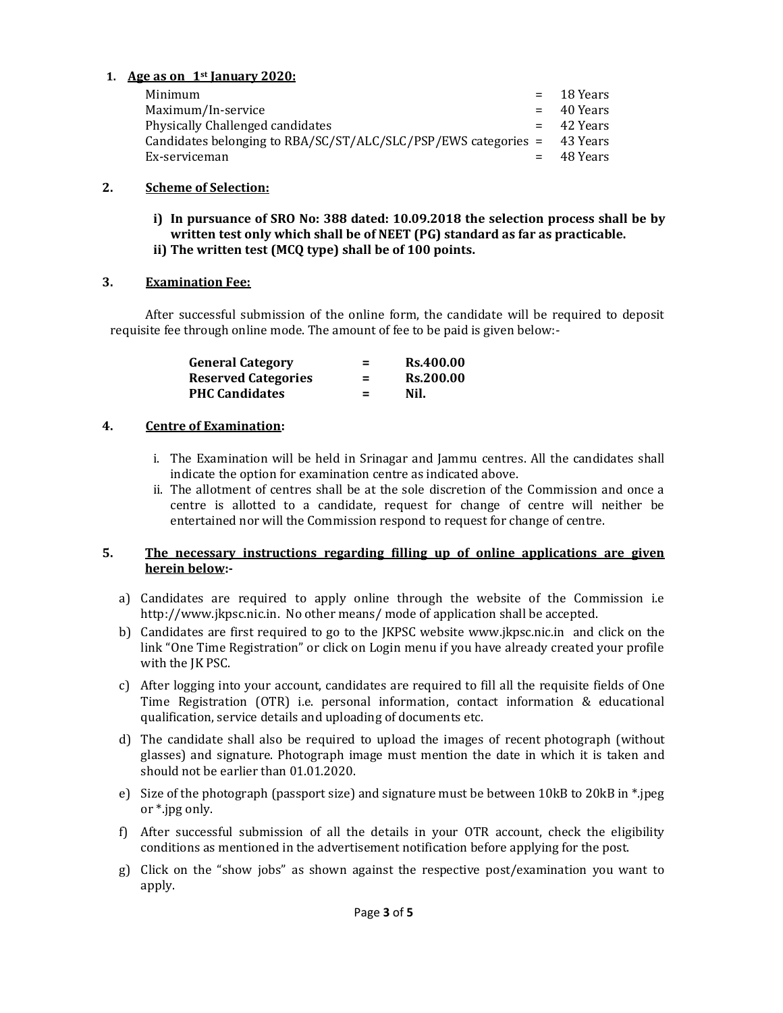# **1. Age as on \_1st January 2020:**

| Minimum                                                                   | $=$ 18 Years |
|---------------------------------------------------------------------------|--------------|
|                                                                           |              |
| Maximum/In-service                                                        | $=$ 40 Years |
| Physically Challenged candidates                                          | $=$ 42 Years |
| Candidates belonging to $RBA/SC/ST/ALC/SLC/PSP/EWS$ categories = 43 Years |              |
| Ex-serviceman                                                             | $=$ 48 Years |

# **2. Scheme of Selection:**

**i) In pursuance of SRO No: 388 dated: 10.09.2018 the selection process shall be by written test only which shall be of NEET (PG) standard as far as practicable. ii) The written test (MCQ type) shall be of 100 points.**

## **3. Examination Fee:**

After successful submission of the online form, the candidate will be required to deposit requisite fee through online mode. The amount of fee to be paid is given below:-

| <b>General Category</b>    | $=$ | <b>Rs.400.00</b> |
|----------------------------|-----|------------------|
| <b>Reserved Categories</b> | $=$ | <b>Rs.200.00</b> |
| <b>PHC Candidates</b>      | $=$ | Nil.             |

## **4. Centre of Examination:**

- i. The Examination will be held in Srinagar and Jammu centres. All the candidates shall indicate the option for examination centre as indicated above.
- ii. The allotment of centres shall be at the sole discretion of the Commission and once a centre is allotted to a candidate, request for change of centre will neither be entertained nor will the Commission respond to request for change of centre.

#### **5. The necessary instructions regarding filling up of online applications are given herein below:-**

- a) [Candidates are required t](http://www.jkpsc.nic.in/)o apply online through the website of the Commission i.e http://www.jkpsc.nic.in. No other means/ mode of applicatio[n shall be accepted.](http://www.jkpsc.nic.in/)
- b) Candidates are first required to go to the JKPSC website www.jkpsc.nic.in and click on the link "One Time Registration" or click on Login menu if you have already created your profile with the JK PSC.
- c) After logging into your account, candidates are required to fill all the requisite fields of One Time Registration (OTR) i.e. personal information, contact information & educational qualification, service details and uploading of documents etc.
- d) The candidate shall also be required to upload the images of recent photograph (without glasses) and signature. Photograph image must mention the date in which it is taken and should not be earlier than 01.01.2020.
- e) Size of the photograph (passport size) and signature must be between 10kB to 20kB in \*.jpeg or \*.jpg only.
- f) After successful submission of all the details in your OTR account, check the eligibility conditions as mentioned in the advertisement notification before applying for the post.
- g) Click on the "show jobs" as shown against the respective post/examination you want to apply.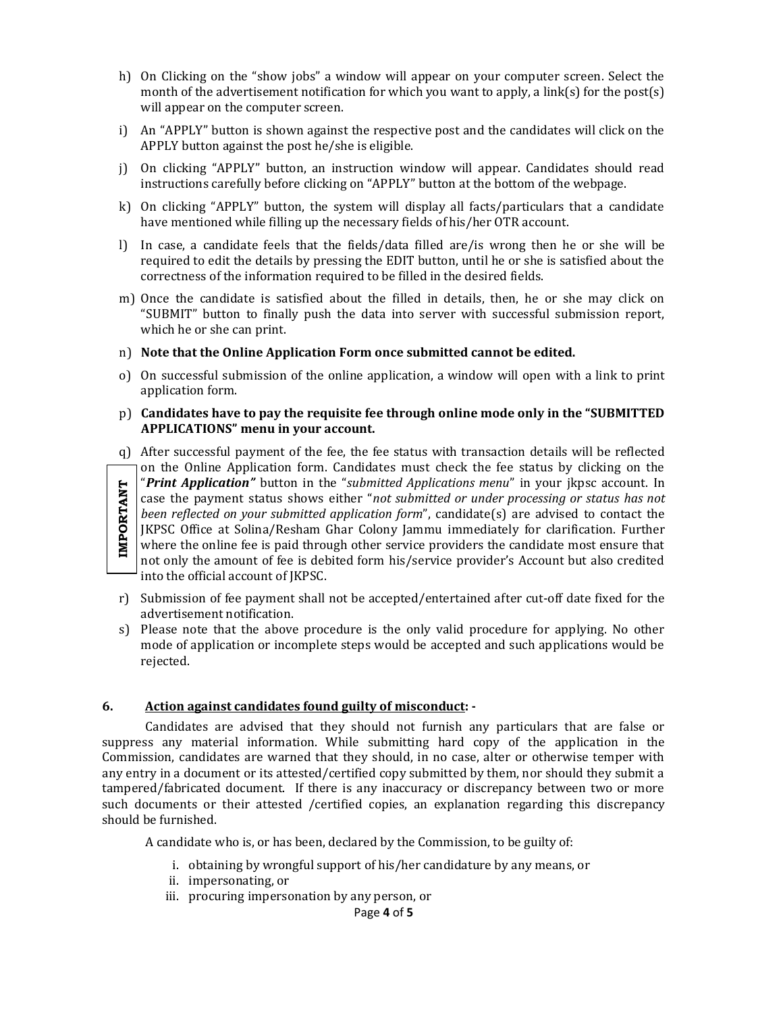- h) On Clicking on the "show jobs" a window will appear on your computer screen. Select the month of the advertisement notification for which you want to apply, a link(s) for the post(s) will appear on the computer screen.
- i) An "APPLY" button is shown against the respective post and the candidates will click on the APPLY button against the post he/she is eligible.
- j) On clicking "APPLY" button, an instruction window will appear. Candidates should read instructions carefully before clicking on "APPLY" button at the bottom of the webpage.
- k) On clicking "APPLY" button, the system will display all facts/particulars that a candidate have mentioned while filling up the necessary fields of his/her OTR account.
- l) In case, a candidate feels that the fields/data filled are/is wrong then he or she will be required to edit the details by pressing the EDIT button, until he or she is satisfied about the correctness of the information required to be filled in the desired fields.
- m) Once the candidate is satisfied about the filled in details, then, he or she may click on "SUBMIT" button to finally push the data into server with successful submission report, which he or she can print.
- n) **Note that the Online Application Form once submitted cannot be edited.**
- o) On successful submission of the online application, a window will open with a link to print application form.

#### p) **Candidates have to pay the requisite fee through online mode only in the "SUBMITTED APPLICATIONS" menu in your account.**

q) After successful payment of the fee, the fee status with transaction details will be reflected on the Online Application form. Candidates must check the fee status by clicking on the "*Print Application"* button in the "*submitted Applications menu*" in your jkpsc account. In **IMPORTANT IMPORTANT**case the payment status shows either "*not submitted or under processing or status has not been reflected on your submitted application form*", candidate(s) are advised to contact the JKPSC Office at Solina/Resham Ghar Colony Jammu immediately for clarification. Further where the online fee is paid through other service providers the candidate most ensure that not only the amount of fee is debited form his/service provider's Account but also credited into the official account of JKPSC.

- r) Submission of fee payment shall not be accepted/entertained after cut-off date fixed for the advertisement notification.
- s) Please note that the above procedure is the only valid procedure for applying. No other mode of application or incomplete steps would be accepted and such applications would be rejected.

#### **6. Action against candidates found guilty of misconduct: -**

Candidates are advised that they should not furnish any particulars that are false or suppress any material information. While submitting hard copy of the application in the Commission, candidates are warned that they should, in no case, alter or otherwise temper with any entry in a document or its attested/certified copy submitted by them, nor should they submit a tampered/fabricated document. If there is any inaccuracy or discrepancy between two or more such documents or their attested /certified copies, an explanation regarding this discrepancy should be furnished.

A candidate who is, or has been, declared by the Commission, to be guilty of:

- i. obtaining by wrongful support of his/her candidature by any means, or
- ii. impersonating, or
- iii. procuring impersonation by any person, or

Page **4** of **5**